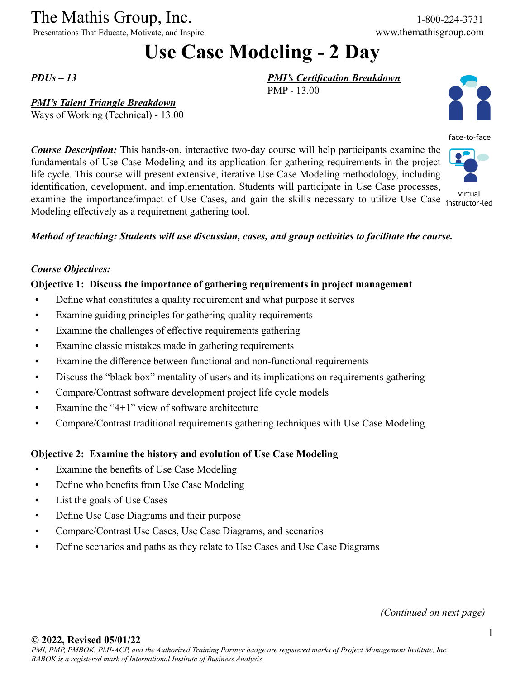# The Mathis Group, Inc. 1-800-224-3731<br>
Presentations That Educate, Motivate, and Inspire www.themathisgroup.com

Presentations That Educate, Motivate, and Inspire

## **Use Case Modeling - 2 Day**

PMP - 13.00

*PMI's Certification Breakdown*

*PDUs – 13*

#### *PMI's Talent Triangle Breakdown*

Ways of Working (Technical) - 13.00

*Course Description:* This hands-on, interactive two-day course will help participants examine the fundamentals of Use Case Modeling and its application for gathering requirements in the project life cycle. This course will present extensive, iterative Use Case Modeling methodology, including identification, development, and implementation. Students will participate in Use Case processes, examine the importance/impact of Use Cases, and gain the skills necessary to utilize Use Case instructor-Modeling effectively as a requirement gathering tool.

*Method of teaching: Students will use discussion, cases, and group activities to facilitate the course.*

#### *Course Objectives:*

#### **Objective 1: Discuss the importance of gathering requirements in project management**

- Define what constitutes a quality requirement and what purpose it serves
- Examine guiding principles for gathering quality requirements
- Examine the challenges of effective requirements gathering
- Examine classic mistakes made in gathering requirements
- Examine the difference between functional and non-functional requirements
- Discuss the "black box" mentality of users and its implications on requirements gathering
- Compare/Contrast software development project life cycle models
- Examine the "4+1" view of software architecture
- Compare/Contrast traditional requirements gathering techniques with Use Case Modeling

#### **Objective 2: Examine the history and evolution of Use Case Modeling**

- Examine the benefits of Use Case Modeling
- Define who benefits from Use Case Modeling
- List the goals of Use Cases
- Define Use Case Diagrams and their purpose
- Compare/Contrast Use Cases, Use Case Diagrams, and scenarios
- Define scenarios and paths as they relate to Use Cases and Use Case Diagrams

*(Continued on next page)*

### **© 2022, Revised 05/01/22**





instructor-led